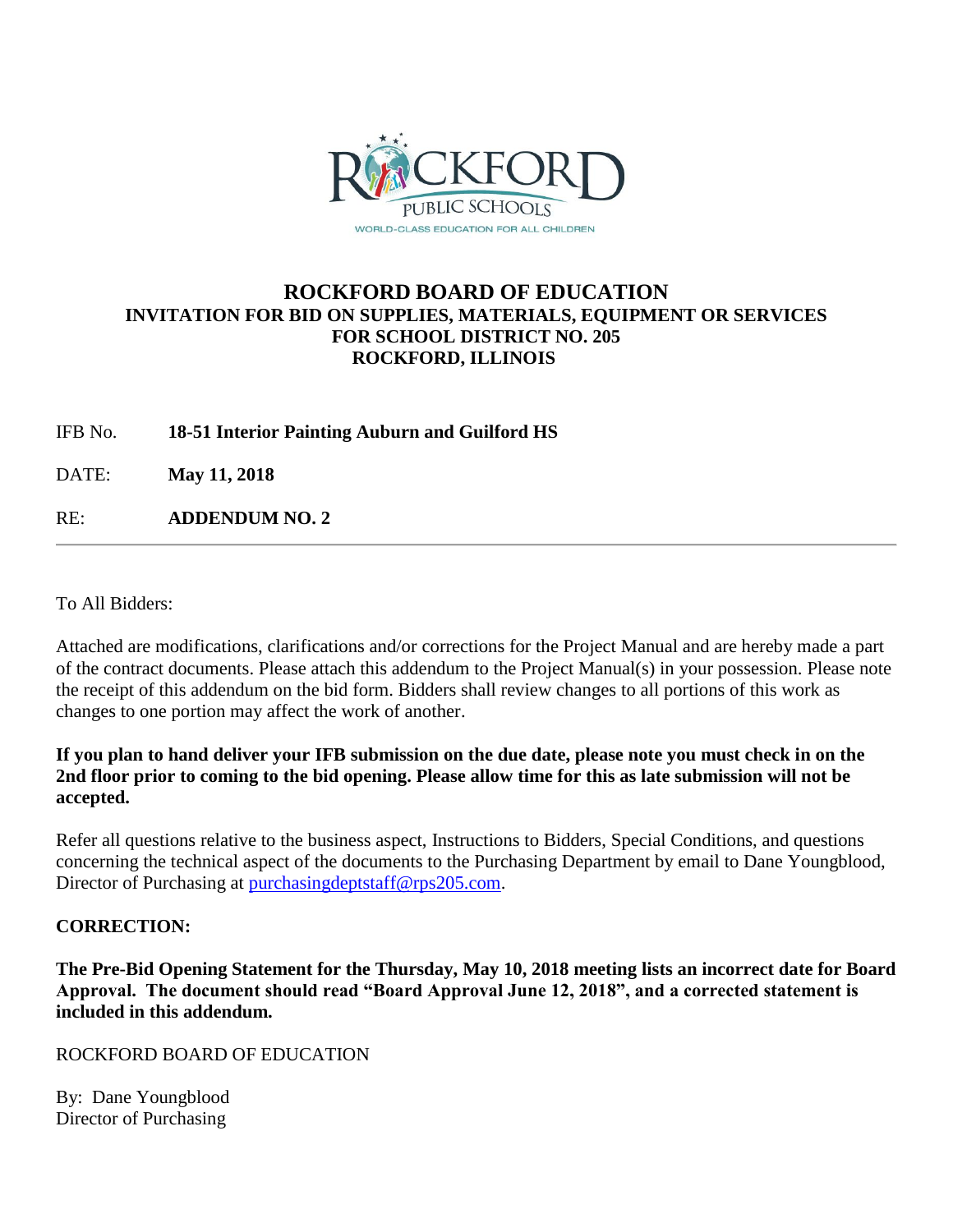

## **ROCKFORD BOARD OF EDUCATION INVITATION FOR BID ON SUPPLIES, MATERIALS, EQUIPMENT OR SERVICES FOR SCHOOL DISTRICT NO. 205 ROCKFORD, ILLINOIS**

IFB No. **18-51 Interior Painting Auburn and Guilford HS**

DATE: **May 11, 2018**

RE: **ADDENDUM NO. 2**

To All Bidders:

Attached are modifications, clarifications and/or corrections for the Project Manual and are hereby made a part of the contract documents. Please attach this addendum to the Project Manual(s) in your possession. Please note the receipt of this addendum on the bid form. Bidders shall review changes to all portions of this work as changes to one portion may affect the work of another.

### **If you plan to hand deliver your IFB submission on the due date, please note you must check in on the 2nd floor prior to coming to the bid opening. Please allow time for this as late submission will not be accepted.**

Refer all questions relative to the business aspect, Instructions to Bidders, Special Conditions, and questions concerning the technical aspect of the documents to the Purchasing Department by email to Dane Youngblood, Director of Purchasing at [purchasingdeptstaff@rps205.com.](mailto:purchasingdeptstaff@rps205.com)

#### **CORRECTION:**

**The Pre-Bid Opening Statement for the Thursday, May 10, 2018 meeting lists an incorrect date for Board Approval. The document should read "Board Approval June 12, 2018", and a corrected statement is included in this addendum.**

ROCKFORD BOARD OF EDUCATION

By: Dane Youngblood Director of Purchasing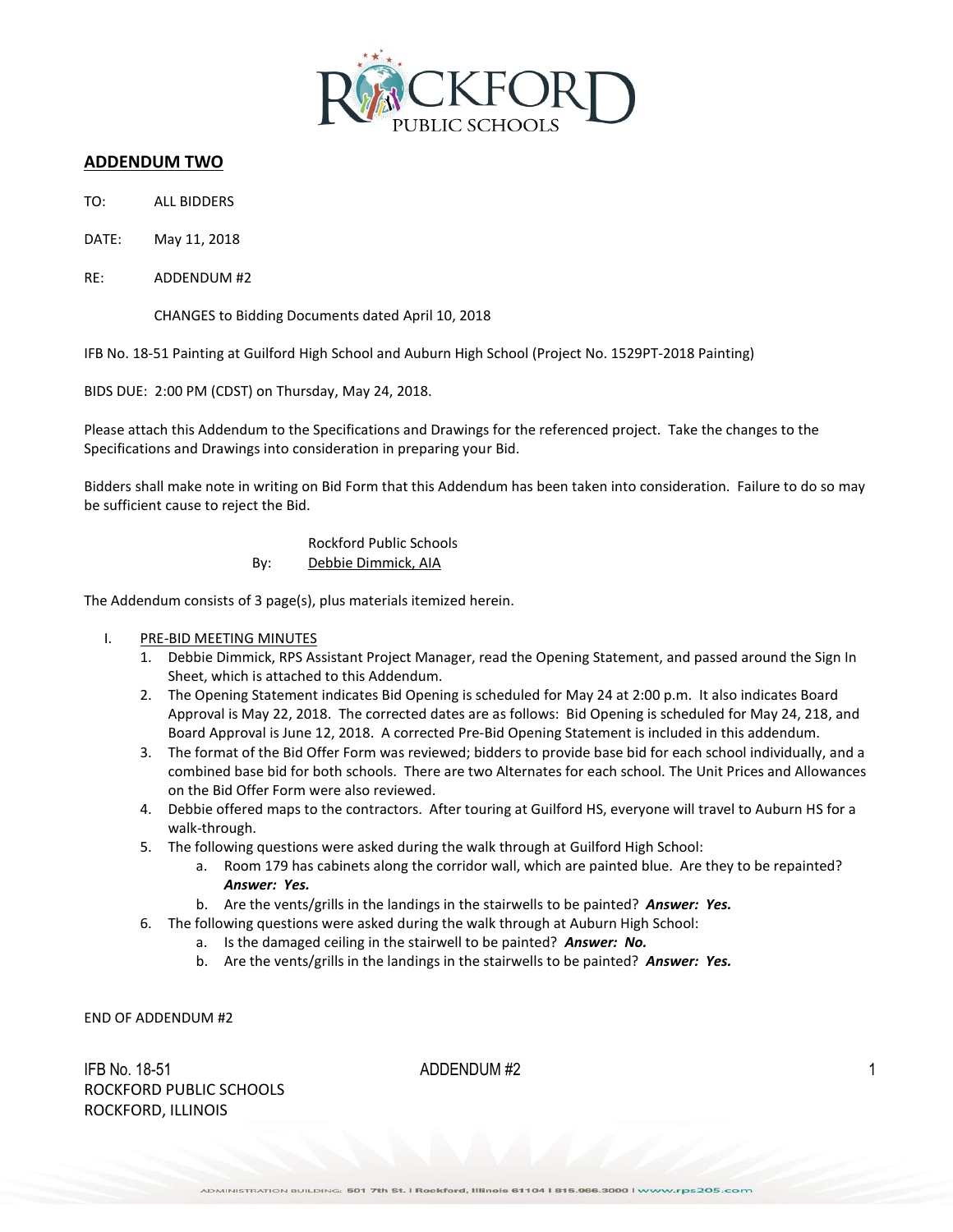

#### **ADDENDUM TWO**

- TO: ALL BIDDERS
- DATE: May 11, 2018
- RE: ADDENDUM #2

CHANGES to Bidding Documents dated April 10, 2018

IFB No. 18-51 Painting at Guilford High School and Auburn High School (Project No. 1529PT-2018 Painting)

BIDS DUE: 2:00 PM (CDST) on Thursday, May 24, 2018.

Please attach this Addendum to the Specifications and Drawings for the referenced project. Take the changes to the Specifications and Drawings into consideration in preparing your Bid.

Bidders shall make note in writing on Bid Form that this Addendum has been taken into consideration. Failure to do so may be sufficient cause to reject the Bid.

> Rockford Public Schools By: Debbie Dimmick, AIA

The Addendum consists of 3 page(s), plus materials itemized herein.

- I. PRE-BID MEETING MINUTES
	- 1. Debbie Dimmick, RPS Assistant Project Manager, read the Opening Statement, and passed around the Sign In Sheet, which is attached to this Addendum.
	- 2. The Opening Statement indicates Bid Opening is scheduled for May 24 at 2:00 p.m. It also indicates Board Approval is May 22, 2018. The corrected dates are as follows: Bid Opening is scheduled for May 24, 218, and Board Approval is June 12, 2018. A corrected Pre-Bid Opening Statement is included in this addendum.
	- 3. The format of the Bid Offer Form was reviewed; bidders to provide base bid for each school individually, and a combined base bid for both schools. There are two Alternates for each school. The Unit Prices and Allowances on the Bid Offer Form were also reviewed.
	- 4. Debbie offered maps to the contractors. After touring at Guilford HS, everyone will travel to Auburn HS for a walk-through.
	- 5. The following questions were asked during the walk through at Guilford High School:
		- a. Room 179 has cabinets along the corridor wall, which are painted blue. Are they to be repainted? *Answer: Yes.*
		- b. Are the vents/grills in the landings in the stairwells to be painted? *Answer: Yes.*
	- 6. The following questions were asked during the walk through at Auburn High School:
		- a. Is the damaged ceiling in the stairwell to be painted? *Answer: No.*
		- b. Are the vents/grills in the landings in the stairwells to be painted? *Answer: Yes.*

END OF ADDENDUM #2

 $\Delta$ IFB No. 18-51  $\Delta$  1 ROCKFORD PUBLIC SCHOOLS ROCKFORD, ILLINOIS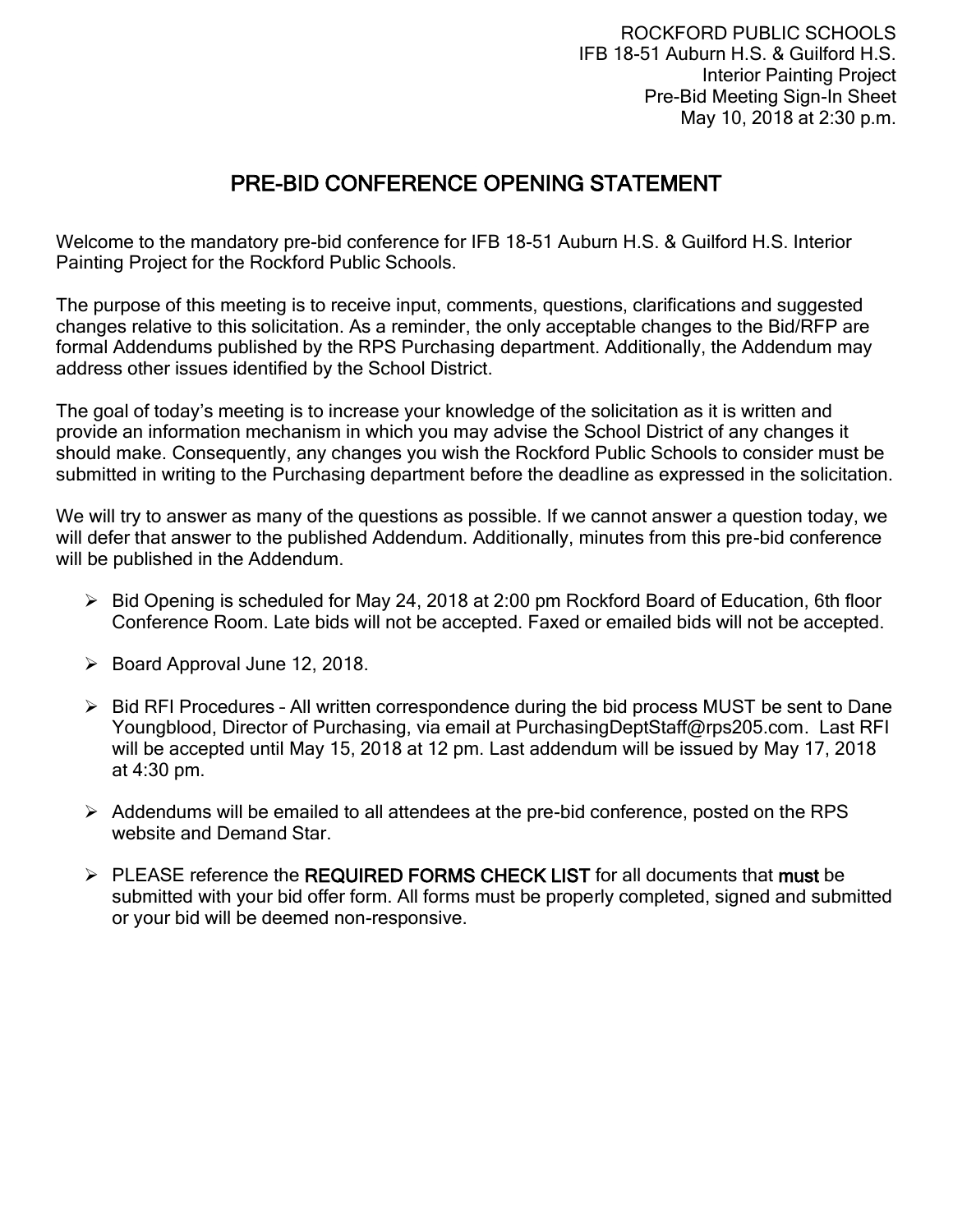ROCKFORD PUBLIC SCHOOLS IFB 18-51 Auburn H.S. & Guilford H.S. Interior Painting Project Pre-Bid Meeting Sign-In Sheet May 10, 2018 at 2:30 p.m.

# PRE-BID CONFERENCE OPENING STATEMENT

Welcome to the mandatory pre-bid conference for IFB 18-51 Auburn H.S. & Guilford H.S. Interior Painting Project for the Rockford Public Schools.

The purpose of this meeting is to receive input, comments, questions, clarifications and suggested changes relative to this solicitation. As a reminder, the only acceptable changes to the Bid/RFP are formal Addendums published by the RPS Purchasing department. Additionally, the Addendum may address other issues identified by the School District.

The goal of today's meeting is to increase your knowledge of the solicitation as it is written and provide an information mechanism in which you may advise the School District of any changes it should make. Consequently, any changes you wish the Rockford Public Schools to consider must be submitted in writing to the Purchasing department before the deadline as expressed in the solicitation.

We will try to answer as many of the questions as possible. If we cannot answer a question today, we will defer that answer to the published Addendum. Additionally, minutes from this pre-bid conference will be published in the Addendum.

- $\triangleright$  Bid Opening is scheduled for May 24, 2018 at 2:00 pm Rockford Board of Education, 6th floor Conference Room. Late bids will not be accepted. Faxed or emailed bids will not be accepted.
- $\triangleright$  Board Approval June 12, 2018.
- $\triangleright$  Bid RFI Procedures All written correspondence during the bid process MUST be sent to Dane Youngblood, Director of Purchasing, via email at PurchasingDeptStaff@rps205.com. Last RFI will be accepted until May 15, 2018 at 12 pm. Last addendum will be issued by May 17, 2018 at 4:30 pm.
- $\triangleright$  Addendums will be emailed to all attendees at the pre-bid conference, posted on the RPS website and Demand Star.
- $\triangleright$  PLEASE reference the REQUIRED FORMS CHECK LIST for all documents that must be submitted with your bid offer form. All forms must be properly completed, signed and submitted or your bid will be deemed non-responsive.